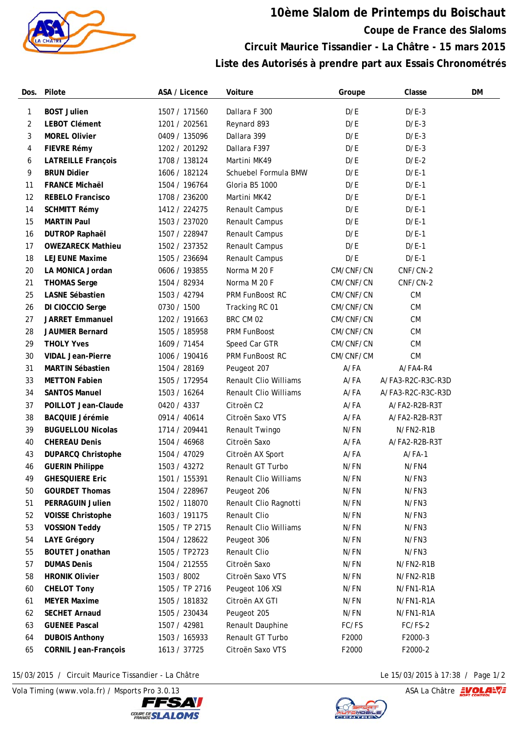

## **10ème Slalom de Printemps du Boischaut Coupe de France des Slaloms Circuit Maurice Tissandier - La Châtre - 15 mars 2015 Liste des Autorisés à prendre part aux Essais Chronométrés**

| Dos. | Pilote                      | ASA / Licence  | Voiture                      | Groupe    | Classe            | DM |
|------|-----------------------------|----------------|------------------------------|-----------|-------------------|----|
| 1    | <b>BOST Julien</b>          | 1507 / 171560  | Dallara F 300                | D/E       | $D/E-3$           |    |
| 2    | <b>LEBOT Clément</b>        | 1201 / 202561  | Reynard 893                  | D/E       | $D/E-3$           |    |
| 3    | <b>MOREL Olivier</b>        | 0409 / 135096  | Dallara 399                  | D/E       | $D/E-3$           |    |
| 4    | FIEVRE Rémy                 | 1202 / 201292  | Dallara F397                 | D/E       | $D/E-3$           |    |
| 6    | <b>LATREILLE François</b>   | 1708 / 138124  | Martini MK49                 | D/E       | $D/E-2$           |    |
| 9    | <b>BRUN Didier</b>          | 1606 / 182124  | Schuebel Formula BMW         | D/E       | $D/E-1$           |    |
| 11   | <b>FRANCE Michaël</b>       | 1504 / 196764  | Gloria B5 1000               | D/E       | $D/E-1$           |    |
| 12   | <b>REBELO Francisco</b>     | 1708 / 236200  | Martini MK42                 | D/E       | $D/E-1$           |    |
| 14   | <b>SCHMITT Rémy</b>         | 1412 / 224275  | Renault Campus               | D/E       | $D/E-1$           |    |
| 15   | <b>MARTIN Paul</b>          | 1503 / 237020  | Renault Campus               | D/E       | $D/E-1$           |    |
| 16   | <b>DUTROP Raphaël</b>       | 1507 / 228947  | Renault Campus               | D/E       | $D/E-1$           |    |
| 17   | <b>OWEZARECK Mathieu</b>    | 1502 / 237352  | Renault Campus               | D/E       | $D/E-1$           |    |
| 18   | <b>LEJEUNE Maxime</b>       | 1505 / 236694  | Renault Campus               | D/E       | $D/E-1$           |    |
| 20   | LA MONICA Jordan            | 0606 / 193855  | Norma M 20 F                 | CM/CNF/CN | CNF/CN-2          |    |
| 21   | <b>THOMAS Serge</b>         | 1504 / 82934   | Norma M 20 F                 | CM/CNF/CN | CNF/CN-2          |    |
| 25   | <b>LASNE Sébastien</b>      | 1503 / 42794   | PRM FunBoost RC              | CM/CNF/CN | <b>CM</b>         |    |
| 26   | DI CIOCCIO Serge            | 0730 / 1500    | Tracking RC 01               | CM/CNF/CN | CM                |    |
| 27   | <b>JARRET Emmanuel</b>      | 1202 / 191663  | BRC CM 02                    | CM/CNF/CN | CM                |    |
| 28   | <b>JAUMIER Bernard</b>      | 1505 / 185958  | PRM FunBoost                 | CM/CNF/CN | <b>CM</b>         |    |
| 29   | <b>THOLY Yves</b>           | 1609 / 71454   | Speed Car GTR                | CM/CNF/CN | CM                |    |
| 30   | <b>VIDAL Jean-Pierre</b>    | 1006 / 190416  | PRM FunBoost RC              | CM/CNF/CM | CM                |    |
| 31   | <b>MARTIN Sébastien</b>     | 1504 / 28169   | Peugeot 207                  | A/FA      | A/FA4-R4          |    |
| 33   | <b>METTON Fabien</b>        | 1505 / 172954  | <b>Renault Clio Williams</b> | $A$ /FA   | A/FA3-R2C-R3C-R3D |    |
| 34   | <b>SANTOS Manuel</b>        | 1503 / 16264   | <b>Renault Clio Williams</b> | $A$ /FA   | A/FA3-R2C-R3C-R3D |    |
| 37   | POILLOT Jean-Claude         | 0420 / 4337    | Citroën C2                   | $A$ /FA   | A/FA2-R2B-R3T     |    |
| 38   | <b>BACQUIE Jérémie</b>      | 0914 / 40614   | Citroën Saxo VTS             | $A$ /FA   | A/FA2-R2B-R3T     |    |
| 39   | <b>BUGUELLOU Nicolas</b>    | 1714 / 209441  | Renault Twingo               | N/FN      | N/FN2-R1B         |    |
| 40   | <b>CHEREAU Denis</b>        | 1504 / 46968   | Citroën Saxo                 | A/FA      | A/FA2-R2B-R3T     |    |
| 43   | <b>DUPARCQ Christophe</b>   | 1504 / 47029   | Citroën AX Sport             | A/FA      | $A/FA-1$          |    |
| 46   | <b>GUERIN Philippe</b>      | 1503 / 43272   | Renault GT Turbo             | N/FN      | N/FN4             |    |
| 49   | <b>GHESQUIERE Eric</b>      | 1501 / 155391  | Renault Clio Williams        | N/FN      | N/FN3             |    |
| 50   | <b>GOURDET Thomas</b>       | 1504 / 228967  | Peugeot 206                  | N/FN      | N/FN3             |    |
| 51   | PERRAGUIN Julien            | 1502 / 118070  | Renault Clio Ragnotti        | N/FN      | N/FN3             |    |
| 52   | <b>VOISSE Christophe</b>    | 1603 / 191175  | Renault Clio                 | N/FN      | N/FN3             |    |
| 53   | <b>VOSSION Teddy</b>        | 1505 / TP 2715 | <b>Renault Clio Williams</b> | N/FN      | N/FN3             |    |
| 54   | <b>LAYE Grégory</b>         | 1504 / 128622  | Peugeot 306                  | N/FN      | N/FN3             |    |
| 55   | <b>BOUTET Jonathan</b>      | 1505 / TP2723  | Renault Clio                 | N/FN      | N/FN3             |    |
| 57   | <b>DUMAS Denis</b>          | 1504 / 212555  | Citroën Saxo                 | N/FN      | N/FN2-R1B         |    |
| 58   | <b>HRONIK Olivier</b>       | 1503 / 8002    | Citroën Saxo VTS             | N/FN      | N/FN2-R1B         |    |
| 60   | <b>CHELOT Tony</b>          | 1505 / TP 2716 | Peugeot 106 XSI              | N/FN      | N/FN1-R1A         |    |
| 61   | <b>MEYER Maxime</b>         | 1505 / 181832  | Citroën AX GTI               | N/FN      | N/FN1-R1A         |    |
| 62   | <b>SECHET Arnaud</b>        | 1505 / 230434  | Peugeot 205                  | N/FN      | N/FN1-R1A         |    |
| 63   | <b>GUENEE Pascal</b>        | 1507 / 42981   | Renault Dauphine             | FC/FS     | FC/FS-2           |    |
| 64   | <b>DUBOIS Anthony</b>       | 1503 / 165933  | Renault GT Turbo             | F2000     | F2000-3           |    |
| 65   | <b>CORNIL Jean-François</b> | 1613 / 37725   | Citroën Saxo VTS             | F2000     | F2000-2           |    |

15/03/2015 / Circuit Maurice Tissandier - La Châtre Le 15/03/2015 à 17:38 / Page 1/2

Vola Timing (www.vola.fr) / Msports Pro 3.0.13 ASA La Châtre **EVOLANT**